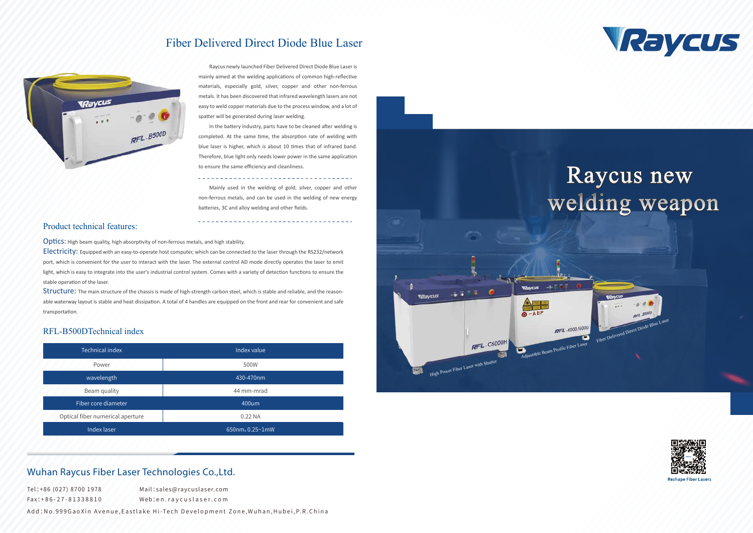

## Wuhan Raycus Fiber Laser Technologies Co.,Ltd.

Raycus newly launched Fiber Delivered Direct Diode Blue Laser is mainly aimed at the welding applications of common high-reflective materials, especially gold, silver, copper and other non-ferrous metals. It has been discovered that infrared wavelength lasers are not easy to weld copper materials due to the process window, and a lot of spatter will be generated during laser welding.

## Fiber Delivered Direct Diode Blue Laser



In the battery industry, parts have to be cleaned after welding is completed. At the same time, the absorption rate of welding with blue laser is higher, which is about 10 times that of infrared band. Therefore, blue light only needs lower power in the same application to ensure the same efficiency and cleanliness.

Electricity: Equipped with an easy-to-operate host computer, which can be connected to the laser through the RS232/network port, which is convenient for the user to interact with the laser. The external control AD mode directly operates the laser to emit light, which is easy to integrate into the user's industrial control system. Comes with a variety of detection functions to ensure the stable operation of the laser.

Structure: The main structure of the chassis is made of high-strength carbon steel, which is stable and reliable, and the reasonable waterway layout is stable and heat dissipation. A total of 4 handles are equipped on the front and rear for convenient and safe transportation.

Mainly used in the welding of gold, silver, copper and other non-ferrous metals, and can be used in the welding of new energy batteries, 3C and alloy welding and other fields.

#### Product technical features:

Optics: High beam quality, high absorptivity of non-ferrous metals, and high stability.

#### RFL-B500DTechnical index

| <b>Technical index</b>           | Index value     |
|----------------------------------|-----------------|
| Power                            | 500W            |
| wavelength                       | 430-470nm       |
| Beam quality                     | 44 mm-mrad      |
| Fiber core diameter              | $400$ um        |
| Optical fiber numerical aperture | 0.22 NA         |
| Index laser                      | 650nm, 0.25~1mW |

Tel:+86 (027) 8700 1978 Fax:+86-27-81338810 Mail:sales@raycuslaser.com Web:en.raycuslaser.com

Add:No.999GaoXin Avenue.Eastlake Hi-Tech Development Zone.Wuhan.Hubei.P.R.China



# Raycus new welding weapon

Fiber Delivered Direct Diode Blue Laser

 $RFL - B5000$ 



**Reshape Fiber Laser**